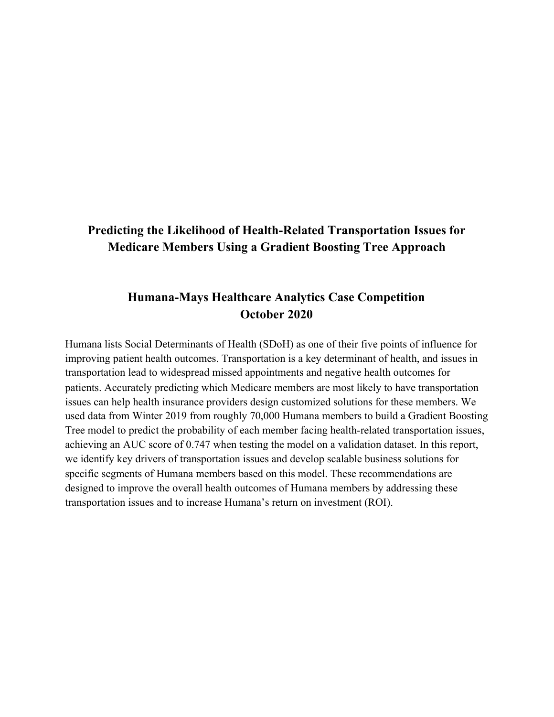# **Predicting the Likelihood of Health-Related Transportation Issues for Medicare Members Using a Gradient Boosting Tree Approach**

## **Humana-Mays Healthcare Analytics Case Competition October 2020**

Humana lists Social Determinants of Health (SDoH) as one of their five points of influence for improving patient health outcomes. Transportation is a key determinant of health, and issues in transportation lead to widespread missed appointments and negative health outcomes for patients. Accurately predicting which Medicare members are most likely to have transportation issues can help health insurance providers design customized solutions for these members. We used data from Winter 2019 from roughly 70,000 Humana members to build a Gradient Boosting Tree model to predict the probability of each member facing health-related transportation issues, achieving an AUC score of 0.747 when testing the model on a validation dataset. In this report, we identify key drivers of transportation issues and develop scalable business solutions for specific segments of Humana members based on this model. These recommendations are designed to improve the overall health outcomes of Humana members by addressing these transportation issues and to increase Humana's return on investment (ROI).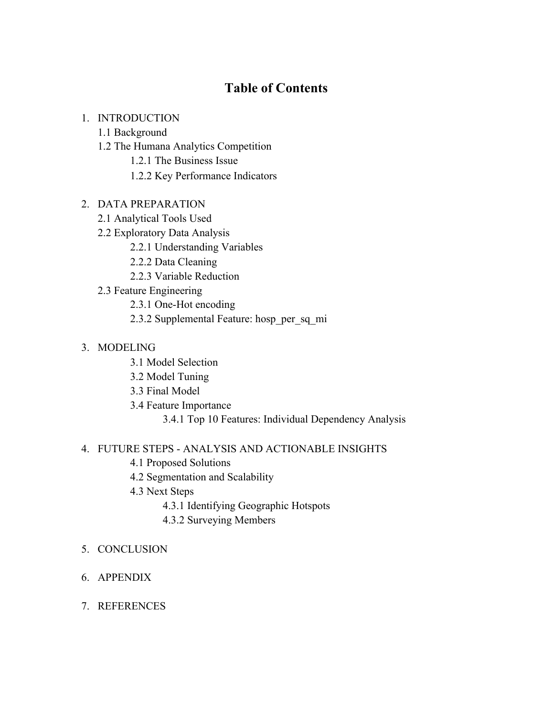# **Table of Contents**

#### 1. INTRODUCTION

#### 1.1 Background

- 1.2 The Humana Analytics Competition
	- 1.2.1 The Business Issue
	- 1.2.2 Key Performance Indicators

#### 2. DATA PREPARATION

- 2.1 Analytical Tools Used
- 2.2 Exploratory Data Analysis
	- 2.2.1 Understanding Variables
	- 2.2.2 Data Cleaning
	- 2.2.3 Variable Reduction
- 2.3 Feature Engineering
	- 2.3.1 One-Hot encoding
	- 2.3.2 Supplemental Feature: hosp\_per\_sq\_mi

#### 3. MODELING

- 3.1 Model Selection
- 3.2 Model Tuning
- 3.3 Final Model
- 3.4 Feature Importance
	- 3.4.1 Top 10 Features: Individual Dependency Analysis

#### 4. FUTURE STEPS - ANALYSIS AND ACTIONABLE INSIGHTS

- 4.1 Proposed Solutions
- 4.2 Segmentation and Scalability
- 4.3 Next Steps
	- 4.3.1 Identifying Geographic Hotspots
	- 4.3.2 Surveying Members

#### 5. CONCLUSION

- 6. APPENDIX
- 7. REFERENCES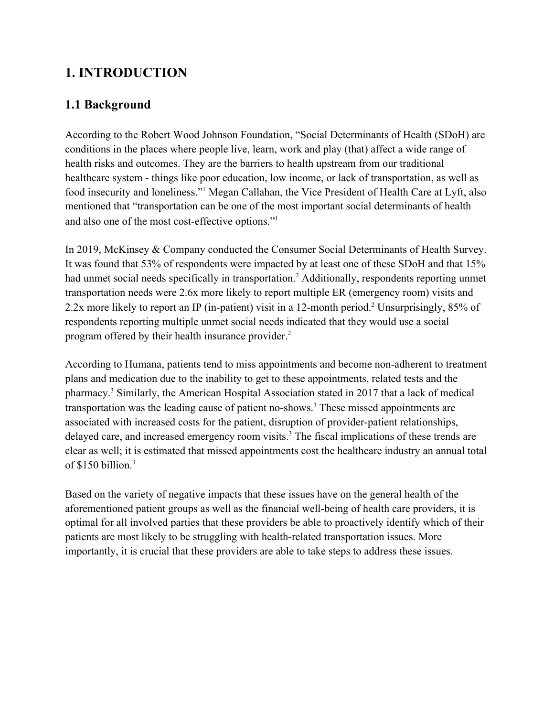# **1. INTRODUCTION**

# **1.1 Background**

According to the Robert Wood Johnson Foundation, "Social Determinants of Health (SDoH) are conditions in the places where people live, learn, work and play (that) affect a wide range of health risks and outcomes. They are the barriers to health upstream from our traditional healthcare system - things like poor education, low income, or lack of transportation, as well as food insecurity and loneliness."<sup>1</sup> Megan Callahan, the Vice President of Health Care at Lyft, also mentioned that "transportation can be one of the most important social determinants of health and also one of the most cost-effective options."<sup>1</sup>

In 2019, McKinsey & Company conducted the Consumer Social Determinants of Health Survey. It was found that 53% of respondents were impacted by at least one of these SDoH and that 15% had unmet social needs specifically in transportation.<sup>2</sup> Additionally, respondents reporting unmet transportation needs were 2.6x more likely to report multiple ER (emergency room) visits and 2.2x more likely to report an IP (in-patient) visit in a 12-month period.<sup>2</sup> Unsurprisingly, 85% of respondents reporting multiple unmet social needs indicated that they would use a social program offered by their health insurance provider.<sup>2</sup>

According to Humana, patients tend to miss appointments and become non-adherent to treatment plans and medication due to the inability to get to these appointments, related tests and the pharmacy.<sup>3</sup> Similarly, the American Hospital Association stated in 2017 that a lack of medical transportation was the leading cause of patient no-shows.<sup>3</sup> These missed appointments are associated with increased costs for the patient, disruption of provider-patient relationships, delayed care, and increased emergency room visits.<sup>3</sup> The fiscal implications of these trends are clear as well; it is estimated that missed appointments cost the healthcare industry an annual total of \$150 billion.<sup>3</sup>

Based on the variety of negative impacts that these issues have on the general health of the aforementioned patient groups as well as the financial well-being of health care providers, it is optimal for all involved parties that these providers be able to proactively identify which of their patients are most likely to be struggling with health-related transportation issues. More importantly, it is crucial that these providers are able to take steps to address these issues.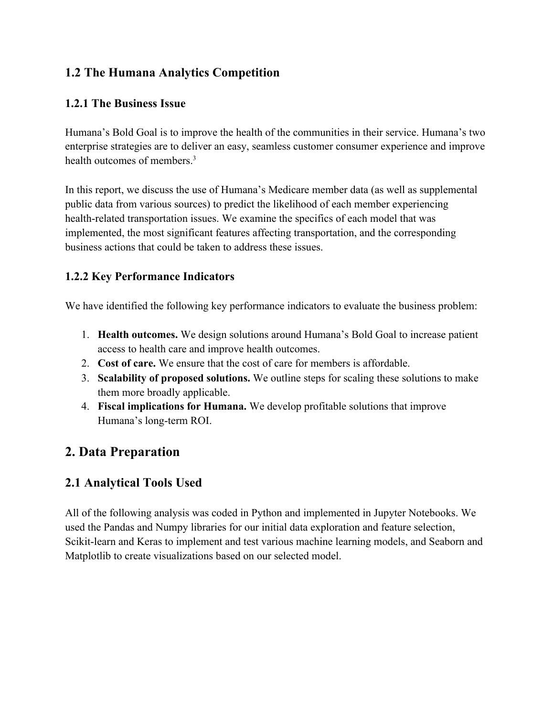# **1.2 The Humana Analytics Competition**

## **1.2.1 The Business Issue**

Humana's Bold Goal is to improve the health of the communities in their service. Humana's two enterprise strategies are to deliver an easy, seamless customer consumer experience and improve health outcomes of members.<sup>3</sup>

In this report, we discuss the use of Humana's Medicare member data (as well as supplemental public data from various sources) to predict the likelihood of each member experiencing health-related transportation issues. We examine the specifics of each model that was implemented, the most significant features affecting transportation, and the corresponding business actions that could be taken to address these issues.

## **1.2.2 Key Performance Indicators**

We have identified the following key performance indicators to evaluate the business problem:

- 1. **Health outcomes.** We design solutions around Humana's Bold Goal to increase patient access to health care and improve health outcomes.
- 2. **Cost of care.** We ensure that the cost of care for members is affordable.
- 3. **Scalability of proposed solutions.** We outline steps for scaling these solutions to make them more broadly applicable.
- 4. **Fiscal implications for Humana.** We develop profitable solutions that improve Humana's long-term ROI.

# **2. Data Preparation**

## **2.1 Analytical Tools Used**

All of the following analysis was coded in Python and implemented in Jupyter Notebooks. We used the Pandas and Numpy libraries for our initial data exploration and feature selection, Scikit-learn and Keras to implement and test various machine learning models, and Seaborn and Matplotlib to create visualizations based on our selected model.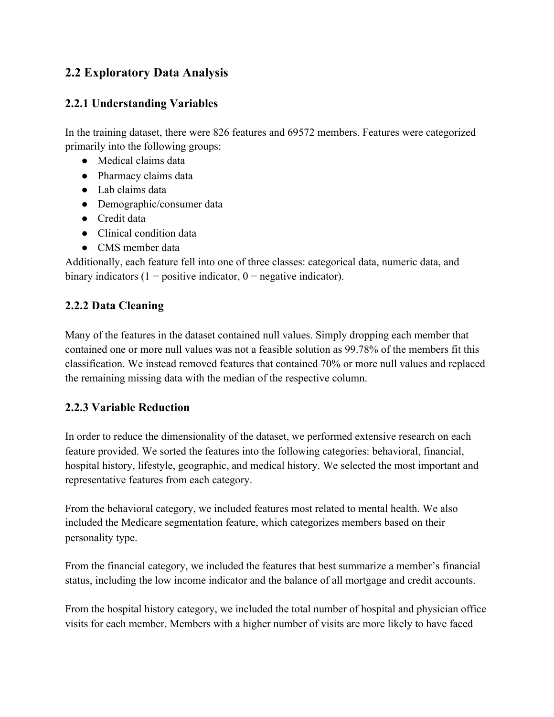# **2.2 Exploratory Data Analysis**

## **2.2.1 Understanding Variables**

In the training dataset, there were 826 features and 69572 members. Features were categorized primarily into the following groups:

- Medical claims data
- Pharmacy claims data
- Lab claims data
- Demographic/consumer data
- Credit data
- Clinical condition data
- CMS member data

Additionally, each feature fell into one of three classes: categorical data, numeric data, and binary indicators ( $1 =$  positive indicator,  $0 =$  negative indicator).

## **2.2.2 Data Cleaning**

Many of the features in the dataset contained null values. Simply dropping each member that contained one or more null values was not a feasible solution as 99.78% of the members fit this classification. We instead removed features that contained 70% or more null values and replaced the remaining missing data with the median of the respective column.

## **2.2.3 Variable Reduction**

In order to reduce the dimensionality of the dataset, we performed extensive research on each feature provided. We sorted the features into the following categories: behavioral, financial, hospital history, lifestyle, geographic, and medical history. We selected the most important and representative features from each category.

From the behavioral category, we included features most related to mental health. We also included the Medicare segmentation feature, which categorizes members based on their personality type.

From the financial category, we included the features that best summarize a member's financial status, including the low income indicator and the balance of all mortgage and credit accounts.

From the hospital history category, we included the total number of hospital and physician office visits for each member. Members with a higher number of visits are more likely to have faced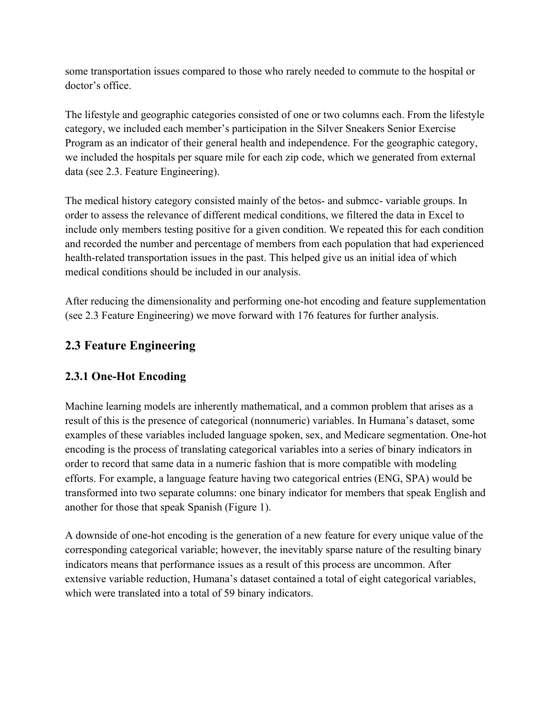some transportation issues compared to those who rarely needed to commute to the hospital or doctor's office.

The lifestyle and geographic categories consisted of one or two columns each. From the lifestyle category, we included each member's participation in the Silver Sneakers Senior Exercise Program as an indicator of their general health and independence. For the geographic category, we included the hospitals per square mile for each zip code, which we generated from external data (see 2.3. Feature Engineering).

The medical history category consisted mainly of the betos- and submcc- variable groups. In order to assess the relevance of different medical conditions, we filtered the data in Excel to include only members testing positive for a given condition. We repeated this for each condition and recorded the number and percentage of members from each population that had experienced health-related transportation issues in the past. This helped give us an initial idea of which medical conditions should be included in our analysis.

After reducing the dimensionality and performing one-hot encoding and feature supplementation (see 2.3 Feature Engineering) we move forward with 176 features for further analysis.

# **2.3 Feature Engineering**

## **2.3.1 One-Hot Encoding**

Machine learning models are inherently mathematical, and a common problem that arises as a result of this is the presence of categorical (nonnumeric) variables. In Humana's dataset, some examples of these variables included language spoken, sex, and Medicare segmentation. One-hot encoding is the process of translating categorical variables into a series of binary indicators in order to record that same data in a numeric fashion that is more compatible with modeling efforts. For example, a language feature having two categorical entries (ENG, SPA) would be transformed into two separate columns: one binary indicator for members that speak English and another for those that speak Spanish (Figure 1).

A downside of one-hot encoding is the generation of a new feature for every unique value of the corresponding categorical variable; however, the inevitably sparse nature of the resulting binary indicators means that performance issues as a result of this process are uncommon. After extensive variable reduction, Humana's dataset contained a total of eight categorical variables, which were translated into a total of 59 binary indicators.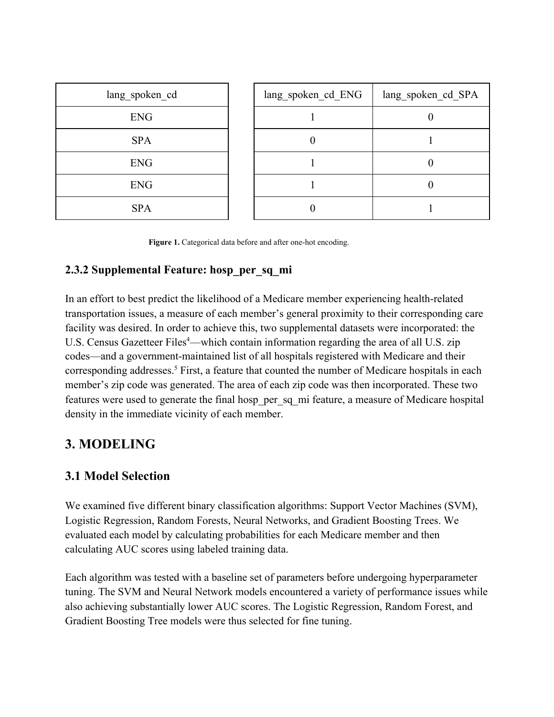| lang_spoken_cd | lang_spoken_cd_ENG | lang_spoken_cd_SPA |
|----------------|--------------------|--------------------|
| <b>ENG</b>     |                    |                    |
| <b>SPA</b>     | U                  |                    |
| <b>ENG</b>     |                    | U                  |
| <b>ENG</b>     |                    | U                  |
| <b>SPA</b>     |                    |                    |

 **Figure 1.** Categorical data before and after one-hot encoding.

## **2.3.2 Supplemental Feature: hosp\_per\_sq\_mi**

In an effort to best predict the likelihood of a Medicare member experiencing health-related transportation issues, a measure of each member's general proximity to their corresponding care facility was desired. In order to achieve this, two supplemental datasets were incorporated: the U.S. Census Gazetteer Files<sup>4</sup>—which contain information regarding the area of all U.S. zip codes—and a government-maintained list of all hospitals registered with Medicare and their corresponding addresses.<sup>5</sup> First, a feature that counted the number of Medicare hospitals in each member's zip code was generated. The area of each zip code was then incorporated. These two features were used to generate the final hosp\_per\_sq\_mi feature, a measure of Medicare hospital density in the immediate vicinity of each member.

# **3. MODELING**

## **3.1 Model Selection**

We examined five different binary classification algorithms: Support Vector Machines (SVM), Logistic Regression, Random Forests, Neural Networks, and Gradient Boosting Trees. We evaluated each model by calculating probabilities for each Medicare member and then calculating AUC scores using labeled training data.

Each algorithm was tested with a baseline set of parameters before undergoing hyperparameter tuning. The SVM and Neural Network models encountered a variety of performance issues while also achieving substantially lower AUC scores. The Logistic Regression, Random Forest, and Gradient Boosting Tree models were thus selected for fine tuning.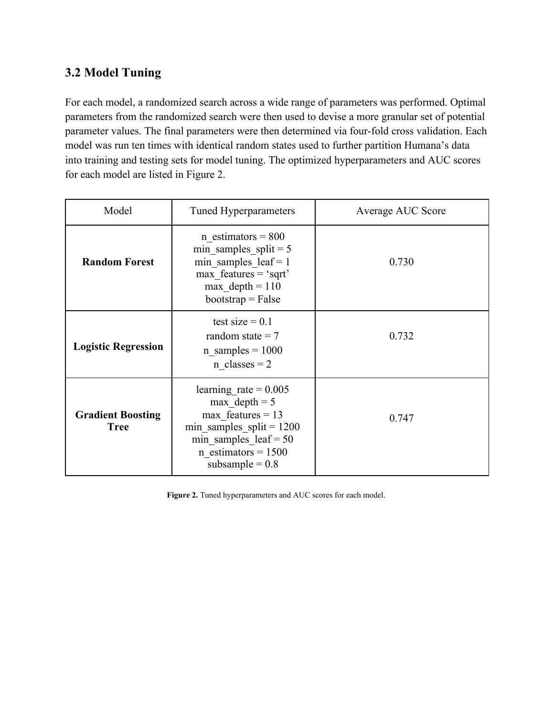## **3.2 Model Tuning**

For each model, a randomized search across a wide range of parameters was performed. Optimal parameters from the randomized search were then used to devise a more granular set of potential parameter values. The final parameters were then determined via four-fold cross validation. Each model was run ten times with identical random states used to further partition Humana's data into training and testing sets for model tuning. The optimized hyperparameters and AUC scores for each model are listed in Figure 2.

| Model                                                                                                                                                                                                               | Tuned Hyperparameters                                                                                                                            | Average AUC Score |  |
|---------------------------------------------------------------------------------------------------------------------------------------------------------------------------------------------------------------------|--------------------------------------------------------------------------------------------------------------------------------------------------|-------------------|--|
| <b>Random Forest</b>                                                                                                                                                                                                | n estimators = $800$<br>min samples split = $5$<br>min samples $leaf = 1$<br>$max$ features = 'sqrt'<br>max $depth = 110$<br>$bootstrap = False$ | 0.730             |  |
| <b>Logistic Regression</b>                                                                                                                                                                                          | test size $= 0.1$<br>random state $= 7$<br>n samples = $1000$<br>$n \text{ classes} = 2$                                                         | 0.732             |  |
| learning rate = $0.005$<br>max $depth = 5$<br>max features $= 13$<br><b>Gradient Boosting</b><br>min samples $split = 1200$<br><b>Tree</b><br>min samples $leaf = 50$<br>$n$ estimators = 1500<br>subsample = $0.8$ |                                                                                                                                                  | 0.747             |  |

**Figure 2.** Tuned hyperparameters and AUC scores for each model.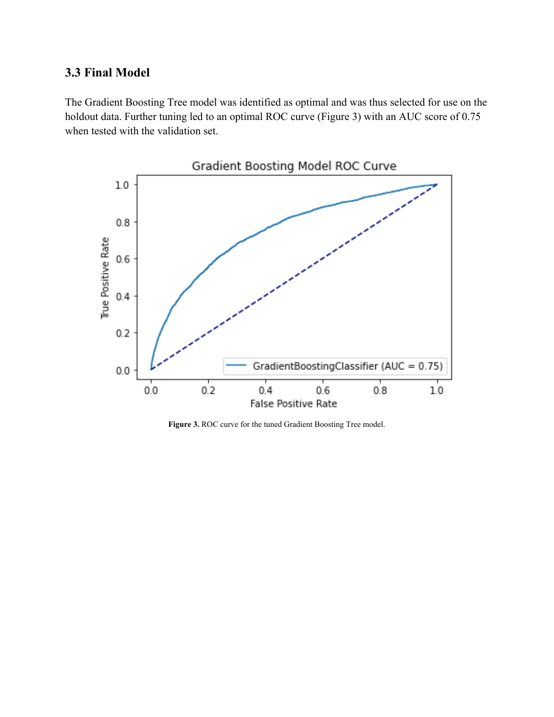## **3.3 Final Model**

The Gradient Boosting Tree model was identified as optimal and was thus selected for use on the holdout data. Further tuning led to an optimal ROC curve (Figure 3) with an AUC score of 0.75 when tested with the validation set.



**Figure 3.** ROC curve for the tuned Gradient Boosting Tree model.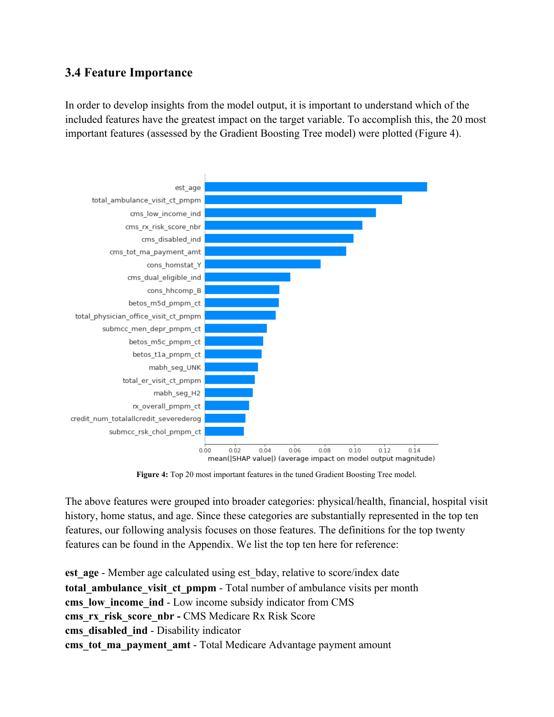## **3.4 Feature Importance**

In order to develop insights from the model output, it is important to understand which of the included features have the greatest impact on the target variable. To accomplish this, the 20 most important features (assessed by the Gradient Boosting Tree model) were plotted (Figure 4).



**Figure 4:** Top 20 most important features in the tuned Gradient Boosting Tree model.

The above features were grouped into broader categories: physical/health, financial, hospital visit history, home status, and age. Since these categories are substantially represented in the top ten features, our following analysis focuses on those features. The definitions for the top twenty features can be found in the Appendix. We list the top ten here for reference:

**est age** - Member age calculated using est bday, relative to score/index date **total ambulance visit ct pmpm** - Total number of ambulance visits per month **cms** low income ind - Low income subsidy indicator from CMS **cms\_rx\_risk\_score\_nbr -** CMS Medicare Rx Risk Score **cms\_disabled\_ind** - Disability indicator **cms** tot ma payment amt - Total Medicare Advantage payment amount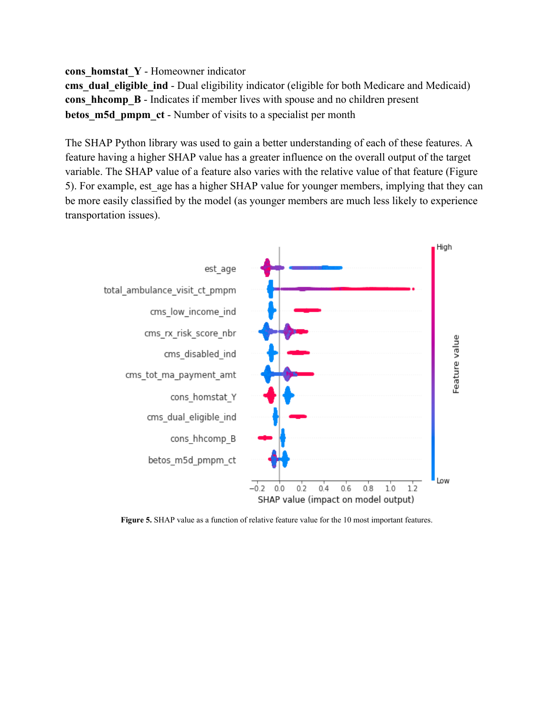#### **cons\_homstat\_Y** - Homeowner indicator

**cms** dual eligible ind - Dual eligibility indicator (eligible for both Medicare and Medicaid) **cons** hhcomp **B** - Indicates if member lives with spouse and no children present **betos m5d pmpm ct** - Number of visits to a specialist per month

The SHAP Python library was used to gain a better understanding of each of these features. A feature having a higher SHAP value has a greater influence on the overall output of the target variable. The SHAP value of a feature also varies with the relative value of that feature (Figure 5). For example, est age has a higher SHAP value for younger members, implying that they can be more easily classified by the model (as younger members are much less likely to experience transportation issues).



**Figure 5.** SHAP value as a function of relative feature value for the 10 most important features.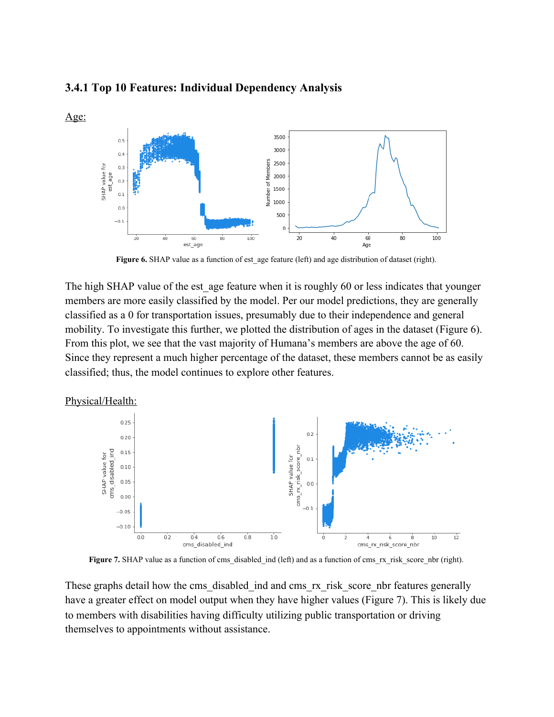

#### **3.4.1 Top 10 Features: Individual Dependency Analysis**

Figure 6. SHAP value as a function of est age feature (left) and age distribution of dataset (right).

The high SHAP value of the est age feature when it is roughly 60 or less indicates that younger members are more easily classified by the model. Per our model predictions, they are generally classified as a 0 for transportation issues, presumably due to their independence and general mobility. To investigate this further, we plotted the distribution of ages in the dataset (Figure 6). From this plot, we see that the vast majority of Humana's members are above the age of 60. Since they represent a much higher percentage of the dataset, these members cannot be as easily classified; thus, the model continues to explore other features.

Physical/Health:



**Figure 7.** SHAP value as a function of cms\_disabled\_ind (left) and as a function of cms\_rx\_risk\_score\_nbr (right).

These graphs detail how the cms\_disabled\_ind and cms\_rx\_risk\_score\_nbr features generally have a greater effect on model output when they have higher values (Figure 7). This is likely due to members with disabilities having difficulty utilizing public transportation or driving themselves to appointments without assistance.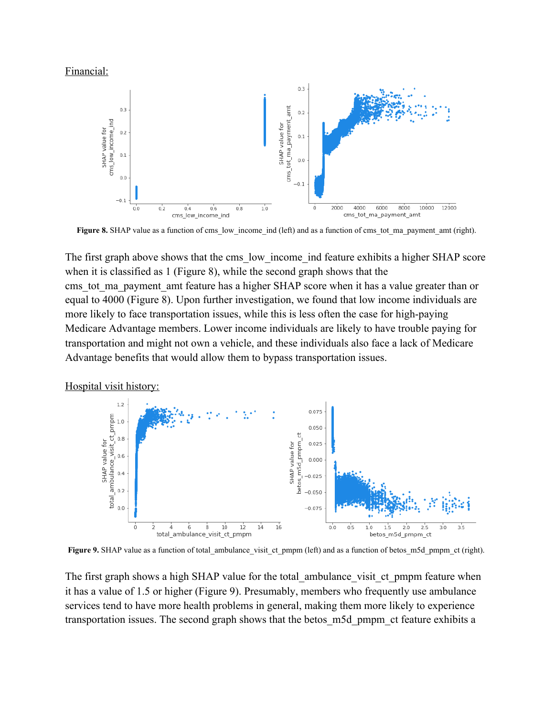#### Financial:



**Figure 8.** SHAP value as a function of cms\_low\_income\_ind (left) and as a function of cms\_tot\_ma\_payment\_amt (right).

The first graph above shows that the cms low income ind feature exhibits a higher SHAP score when it is classified as 1 (Figure 8), while the second graph shows that the cms tot ma payment amt feature has a higher SHAP score when it has a value greater than or equal to 4000 (Figure 8). Upon further investigation, we found that low income individuals are more likely to face transportation issues, while this is less often the case for high-paying Medicare Advantage members. Lower income individuals are likely to have trouble paying for transportation and might not own a vehicle, and these individuals also face a lack of Medicare Advantage benefits that would allow them to bypass transportation issues.

Hospital visit history:



**Figure 9.** SHAP value as a function of total ambulance visit ct pmpm (left) and as a function of betos m5d pmpm ct (right).

The first graph shows a high SHAP value for the total ambulance visit ct pmpm feature when it has a value of 1.5 or higher (Figure 9). Presumably, members who frequently use ambulance services tend to have more health problems in general, making them more likely to experience transportation issues. The second graph shows that the betos\_m5d\_pmpm\_ct feature exhibits a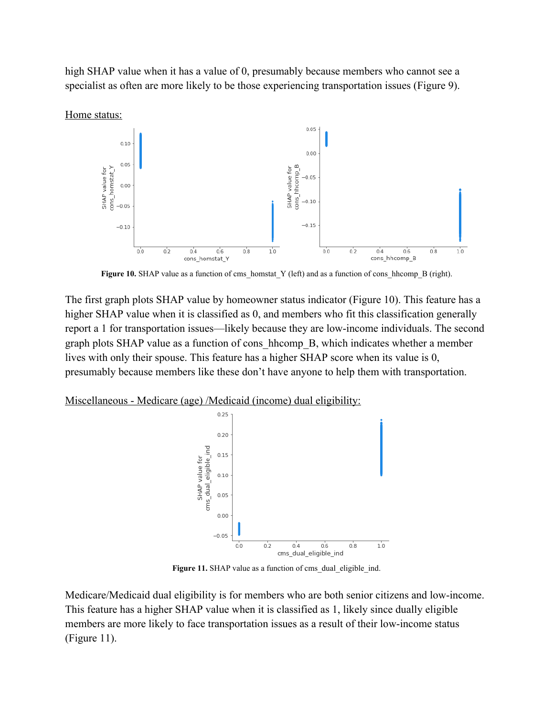high SHAP value when it has a value of 0, presumably because members who cannot see a specialist as often are more likely to be those experiencing transportation issues (Figure 9).



**Figure 10.** SHAP value as a function of cms\_homstat\_Y (left) and as a function of cons\_hhcomp\_B (right).

The first graph plots SHAP value by homeowner status indicator (Figure 10). This feature has a higher SHAP value when it is classified as 0, and members who fit this classification generally report a 1 for transportation issues—likely because they are low-income individuals. The second graph plots SHAP value as a function of cons\_hhcomp\_B, which indicates whether a member lives with only their spouse. This feature has a higher SHAP score when its value is 0, presumably because members like these don't have anyone to help them with transportation.

Miscellaneous - Medicare (age) /Medicaid (income) dual eligibility:



Figure 11. SHAP value as a function of cms\_dual\_eligible\_ind.

Medicare/Medicaid dual eligibility is for members who are both senior citizens and low-income. This feature has a higher SHAP value when it is classified as 1, likely since dually eligible members are more likely to face transportation issues as a result of their low-income status (Figure 11).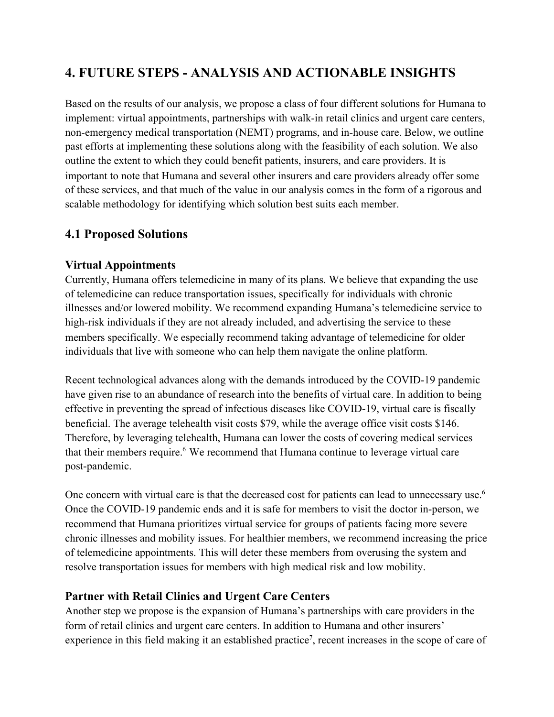# **4. FUTURE STEPS - ANALYSIS AND ACTIONABLE INSIGHTS**

Based on the results of our analysis, we propose a class of four different solutions for Humana to implement: virtual appointments, partnerships with walk-in retail clinics and urgent care centers, non-emergency medical transportation (NEMT) programs, and in-house care. Below, we outline past efforts at implementing these solutions along with the feasibility of each solution. We also outline the extent to which they could benefit patients, insurers, and care providers. It is important to note that Humana and several other insurers and care providers already offer some of these services, and that much of the value in our analysis comes in the form of a rigorous and scalable methodology for identifying which solution best suits each member.

## **4.1 Proposed Solutions**

## **Virtual Appointments**

Currently, Humana offers telemedicine in many of its plans. We believe that expanding the use of telemedicine can reduce transportation issues, specifically for individuals with chronic illnesses and/or lowered mobility. We recommend expanding Humana's telemedicine service to high-risk individuals if they are not already included, and advertising the service to these members specifically. We especially recommend taking advantage of telemedicine for older individuals that live with someone who can help them navigate the online platform.

Recent technological advances along with the demands introduced by the COVID-19 pandemic have given rise to an abundance of research into the benefits of virtual care. In addition to being effective in preventing the spread of infectious diseases like COVID-19, virtual care is fiscally beneficial. The average telehealth visit costs \$79, while the average office visit costs \$146. Therefore, by leveraging telehealth, Humana can lower the costs of covering medical services that their members require.<sup>6</sup> We recommend that Humana continue to leverage virtual care post-pandemic.

One concern with virtual care is that the decreased cost for patients can lead to unnecessary use.<sup>6</sup> Once the COVID-19 pandemic ends and it is safe for members to visit the doctor in-person, we recommend that Humana prioritizes virtual service for groups of patients facing more severe chronic illnesses and mobility issues. For healthier members, we recommend increasing the price of telemedicine appointments. This will deter these members from overusing the system and resolve transportation issues for members with high medical risk and low mobility.

## **Partner with Retail Clinics and Urgent Care Centers**

Another step we propose is the expansion of Humana's partnerships with care providers in the form of retail clinics and urgent care centers. In addition to Humana and other insurers' experience in this field making it an established practice<sup>7</sup>, recent increases in the scope of care of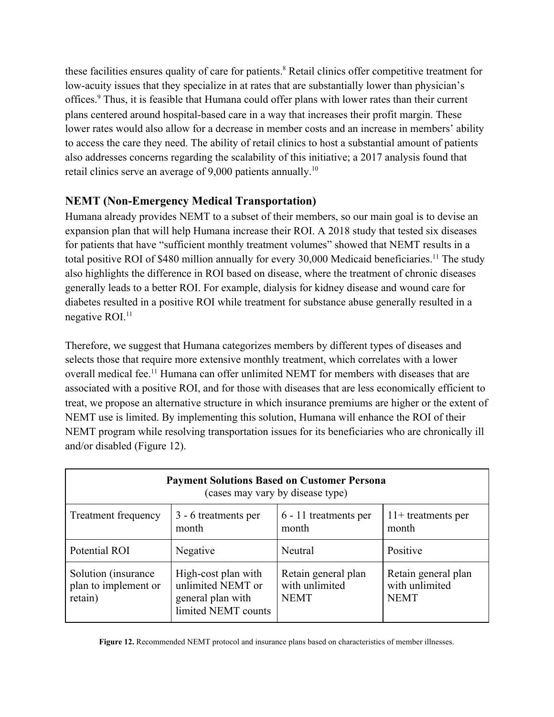these facilities ensures quality of care for patients.<sup>8</sup> Retail clinics offer competitive treatment for low-acuity issues that they specialize in at rates that are substantially lower than physician's offices.<sup>9</sup> Thus, it is feasible that Humana could offer plans with lower rates than their current plans centered around hospital-based care in a way that increases their profit margin. These lower rates would also allow for a decrease in member costs and an increase in members' ability to access the care they need. The ability of retail clinics to host a substantial amount of patients also addresses concerns regarding the scalability of this initiative; a 2017 analysis found that retail clinics serve an average of 9,000 patients annually.<sup>10</sup>

## **NEMT (Non-Emergency Medical Transportation)**

Humana already provides NEMT to a subset of their members, so our main goal is to devise an expansion plan that will help Humana increase their ROI. A 2018 study that tested six diseases for patients that have "sufficient monthly treatment volumes" showed that NEMT results in a total positive ROI of \$480 million annually for every 30,000 Medicaid beneficiaries.<sup>11</sup> The study also highlights the difference in ROI based on disease, where the treatment of chronic diseases generally leads to a better ROI. For example, dialysis for kidney disease and wound care for diabetes resulted in a positive ROI while treatment for substance abuse generally resulted in a negative ROI.<sup>11</sup>

Therefore, we suggest that Humana categorizes members by different types of diseases and selects those that require more extensive monthly treatment, which correlates with a lower overall medical fee.<sup>11</sup> Humana can offer unlimited NEMT for members with diseases that are associated with a positive ROI, and for those with diseases that are less economically efficient to treat, we propose an alternative structure in which insurance premiums are higher or the extent of NEMT use is limited. By implementing this solution, Humana will enhance the ROI of their NEMT program while resolving transportation issues for its beneficiaries who are chronically ill and/or disabled (Figure 12).

| <b>Payment Solutions Based on Customer Persona</b><br>(cases may vary by disease type) |                                                                                      |                                                      |                                                      |  |  |
|----------------------------------------------------------------------------------------|--------------------------------------------------------------------------------------|------------------------------------------------------|------------------------------------------------------|--|--|
| <b>Treatment frequency</b>                                                             | 3 - 6 treatments per<br>month                                                        | 6 - 11 treatments per<br>month                       | $11+$ treatments per<br>month                        |  |  |
| Potential ROI                                                                          | Negative                                                                             | Neutral                                              | Positive                                             |  |  |
| Solution (insurance)<br>plan to implement or<br>retain)                                | High-cost plan with<br>unlimited NEMT or<br>general plan with<br>limited NEMT counts | Retain general plan<br>with unlimited<br><b>NEMT</b> | Retain general plan<br>with unlimited<br><b>NEMT</b> |  |  |

**Figure 12.** Recommended NEMT protocol and insurance plans based on characteristics of member illnesses.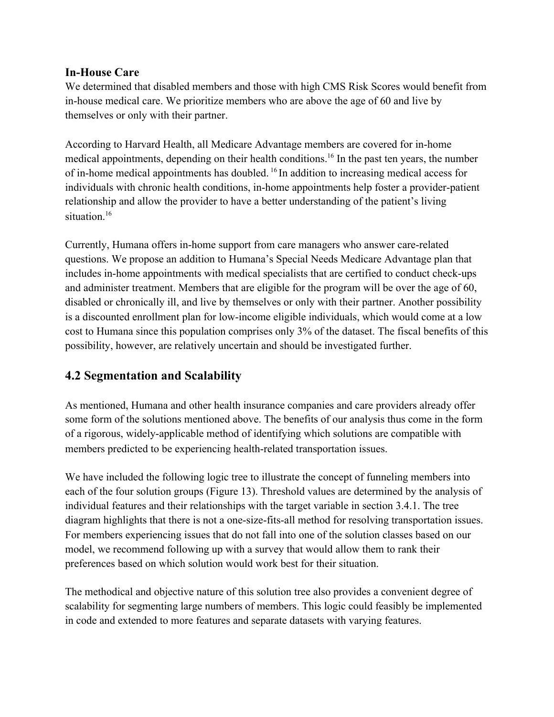#### **In-House Care**

We determined that disabled members and those with high CMS Risk Scores would benefit from in-house medical care. We prioritize members who are above the age of 60 and live by themselves or only with their partner.

According to Harvard Health, all Medicare Advantage members are covered for in-home medical appointments, depending on their health conditions.<sup>16</sup> In the past ten years, the number of in-home medical appointments has doubled. <sup>16</sup> In addition to increasing medical access for individuals with chronic health conditions, in-home appointments help foster a provider-patient relationship and allow the provider to have a better understanding of the patient's living situation<sup>16</sup>

Currently, Humana offers in-home support from care managers who answer care-related questions. We propose an addition to Humana's Special Needs Medicare Advantage plan that includes in-home appointments with medical specialists that are certified to conduct check-ups and administer treatment. Members that are eligible for the program will be over the age of 60, disabled or chronically ill, and live by themselves or only with their partner. Another possibility is a discounted enrollment plan for low-income eligible individuals, which would come at a low cost to Humana since this population comprises only 3% of the dataset. The fiscal benefits of this possibility, however, are relatively uncertain and should be investigated further.

## **4.2 Segmentation and Scalability**

As mentioned, Humana and other health insurance companies and care providers already offer some form of the solutions mentioned above. The benefits of our analysis thus come in the form of a rigorous, widely-applicable method of identifying which solutions are compatible with members predicted to be experiencing health-related transportation issues.

We have included the following logic tree to illustrate the concept of funneling members into each of the four solution groups (Figure 13). Threshold values are determined by the analysis of individual features and their relationships with the target variable in section 3.4.1. The tree diagram highlights that there is not a one-size-fits-all method for resolving transportation issues. For members experiencing issues that do not fall into one of the solution classes based on our model, we recommend following up with a survey that would allow them to rank their preferences based on which solution would work best for their situation.

The methodical and objective nature of this solution tree also provides a convenient degree of scalability for segmenting large numbers of members. This logic could feasibly be implemented in code and extended to more features and separate datasets with varying features.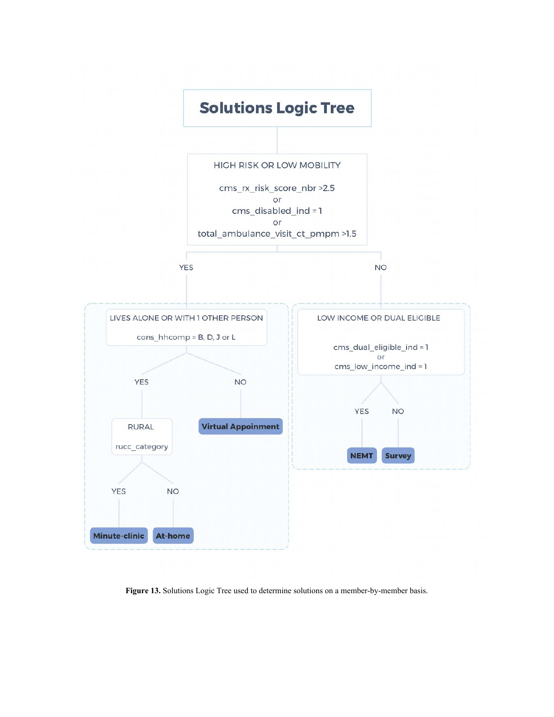

**Figure 13.** Solutions Logic Tree used to determine solutions on a member-by-member basis.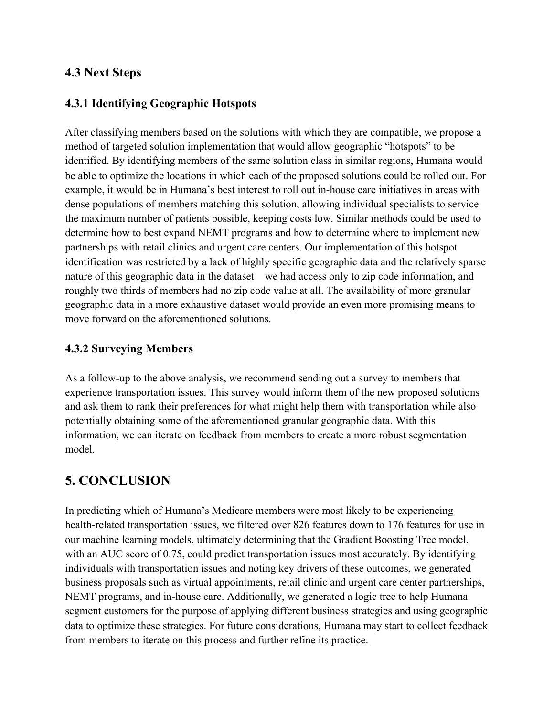#### **4.3 Next Steps**

#### **4.3.1 Identifying Geographic Hotspots**

After classifying members based on the solutions with which they are compatible, we propose a method of targeted solution implementation that would allow geographic "hotspots" to be identified. By identifying members of the same solution class in similar regions, Humana would be able to optimize the locations in which each of the proposed solutions could be rolled out. For example, it would be in Humana's best interest to roll out in-house care initiatives in areas with dense populations of members matching this solution, allowing individual specialists to service the maximum number of patients possible, keeping costs low. Similar methods could be used to determine how to best expand NEMT programs and how to determine where to implement new partnerships with retail clinics and urgent care centers. Our implementation of this hotspot identification was restricted by a lack of highly specific geographic data and the relatively sparse nature of this geographic data in the dataset—we had access only to zip code information, and roughly two thirds of members had no zip code value at all. The availability of more granular geographic data in a more exhaustive dataset would provide an even more promising means to move forward on the aforementioned solutions.

#### **4.3.2 Surveying Members**

As a follow-up to the above analysis, we recommend sending out a survey to members that experience transportation issues. This survey would inform them of the new proposed solutions and ask them to rank their preferences for what might help them with transportation while also potentially obtaining some of the aforementioned granular geographic data. With this information, we can iterate on feedback from members to create a more robust segmentation model.

# **5. CONCLUSION**

In predicting which of Humana's Medicare members were most likely to be experiencing health-related transportation issues, we filtered over 826 features down to 176 features for use in our machine learning models, ultimately determining that the Gradient Boosting Tree model, with an AUC score of 0.75, could predict transportation issues most accurately. By identifying individuals with transportation issues and noting key drivers of these outcomes, we generated business proposals such as virtual appointments, retail clinic and urgent care center partnerships, NEMT programs, and in-house care. Additionally, we generated a logic tree to help Humana segment customers for the purpose of applying different business strategies and using geographic data to optimize these strategies. For future considerations, Humana may start to collect feedback from members to iterate on this process and further refine its practice.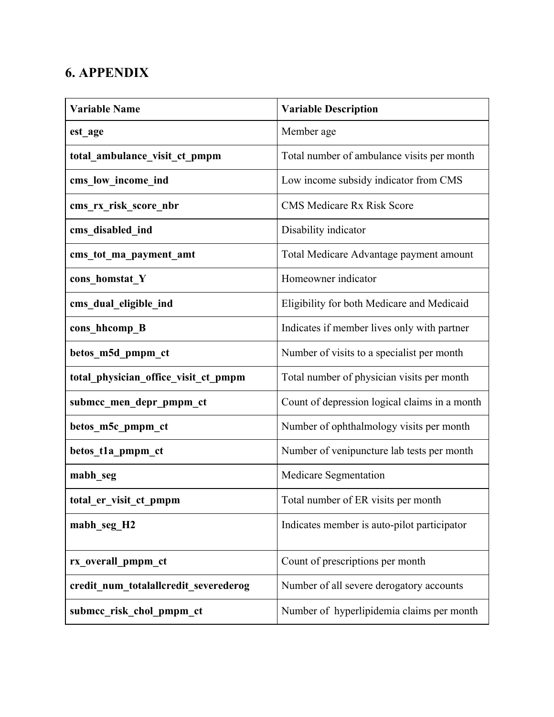# **6. APPENDIX**

| <b>Variable Name</b>                  | <b>Variable Description</b>                   |
|---------------------------------------|-----------------------------------------------|
| est age                               | Member age                                    |
| total ambulance visit ct pmpm         | Total number of ambulance visits per month    |
| cms_low_income_ind                    | Low income subsidy indicator from CMS         |
| cms rx risk score nbr                 | <b>CMS Medicare Rx Risk Score</b>             |
| cms disabled ind                      | Disability indicator                          |
| cms_tot_ma_payment_amt                | Total Medicare Advantage payment amount       |
| cons homstat Y                        | Homeowner indicator                           |
| cms dual eligible ind                 | Eligibility for both Medicare and Medicaid    |
| cons_hhcomp_B                         | Indicates if member lives only with partner   |
| betos m5d pmpm ct                     | Number of visits to a specialist per month    |
| total physician office visit ct pmpm  | Total number of physician visits per month    |
| submcc_men_depr_pmpm_ct               | Count of depression logical claims in a month |
| betos_m5c_pmpm_ct                     | Number of ophthalmology visits per month      |
| betos_t1a_pmpm_ct                     | Number of venipuncture lab tests per month    |
| mabh seg                              | Medicare Segmentation                         |
| total_er_visit_ct_pmpm                | Total number of ER visits per month           |
| mabh_seg_H2                           | Indicates member is auto-pilot participator   |
| rx_overall_pmpm_ct                    | Count of prescriptions per month              |
| credit num totalallcredit severederog | Number of all severe derogatory accounts      |
| submcc risk chol pmpm ct              | Number of hyperlipidemia claims per month     |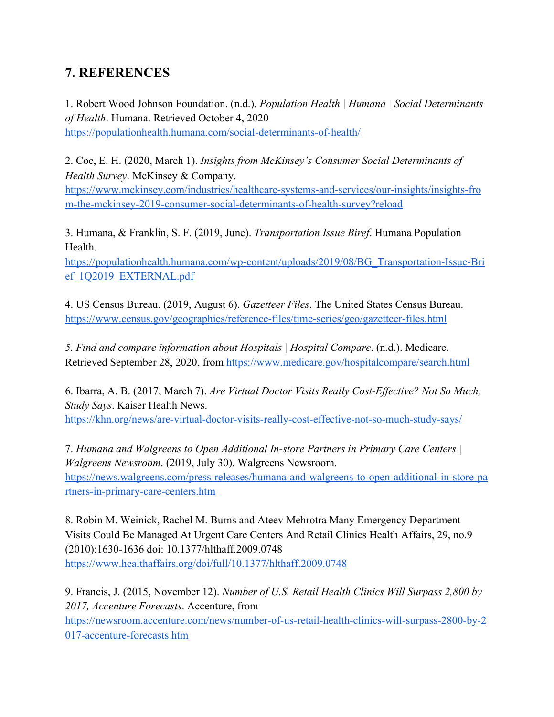# **7. REFERENCES**

1. Robert Wood Johnson Foundation. (n.d.). *Population Health | Humana | Social Determinants of Health*. Humana. Retrieved October 4, 2020 https://populationhealth.humana.com/social-determinants-of-health/

2. Coe, E. H. (2020, March 1). *Insights from McKinsey's Consumer Social Determinants of Health Survey*. McKinsey & Company. https://www.mckinsey.com/industries/healthcare-systems-and-services/our-insights/insights-fro m-the-mckinsey-2019-consumer-social-determinants-of-health-survey?reload

3. Humana, & Franklin, S. F. (2019, June). *Transportation Issue Biref*. Humana Population Health.

https://populationhealth.humana.com/wp-content/uploads/2019/08/BG\_Transportation-Issue-Bri ef\_1Q2019\_EXTERNAL.pdf

4. US Census Bureau. (2019, August 6). *Gazetteer Files*. The United States Census Bureau. https://www.census.gov/geographies/reference-files/time-series/geo/gazetteer-files.html

*5. Find and compare information about Hospitals | Hospital Compare*. (n.d.). Medicare. Retrieved September 28, 2020, from https://www.medicare.gov/hospitalcompare/search.html

6. Ibarra, A. B. (2017, March 7). *Are Virtual Doctor Visits Really Cost-Effective? Not So Much, Study Says*. Kaiser Health News. https://khn.org/news/are-virtual-doctor-visits-really-cost-effective-not-so-much-study-says/

7. *Humana and Walgreens to Open Additional In-store Partners in Primary Care Centers | Walgreens Newsroom*. (2019, July 30). Walgreens Newsroom. https://news.walgreens.com/press-releases/humana-and-walgreens-to-open-additional-in-store-pa rtners-in-primary-care-centers.htm

8. Robin M. Weinick, Rachel M. Burns and Ateev Mehrotra Many Emergency Department Visits Could Be Managed At Urgent Care Centers And Retail Clinics Health Affairs, 29, no.9 (2010):1630-1636 doi: 10.1377/hlthaff.2009.0748 https://www.healthaffairs.org/doi/full/10.1377/hlthaff.2009.0748

9. Francis, J. (2015, November 12). *Number of U.S. Retail Health Clinics Will Surpass 2,800 by 2017, Accenture Forecasts*. Accenture, from https://newsroom.accenture.com/news/number-of-us-retail-health-clinics-will-surpass-2800-by-2 017-accenture-forecasts.htm